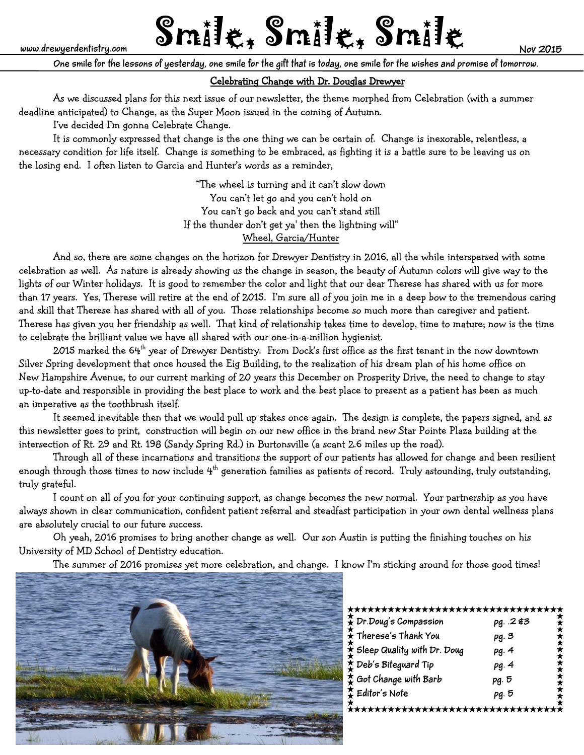# www.drewyerdentistry.com **Smille, Smille, Smille**

**One smile for the lessons of yesterday, one smile for the gift that is today, one smile for the wishes and promise of tomorrow.**

## Celebrating Change with Dr. Douglas Drewyer

As we discussed plans for this next issue of our newsletter, the theme morphed from Celebration (with a summer deadline anticipated) to Change, as the Super Moon issued in the coming of Autumn.

I've decided I'm gonna Celebrate Change.

 It is commonly expressed that change is the one thing we can be certain of. Change is inexorable, relentless, a necessary condition for life itself. Change is something to be embraced, as fighting it is a battle sure to be leaving us on the losing end. I often listen to Garcia and Hunter's words as a reminder,

> "The wheel is turning and it can't slow down You can't let go and you can't hold on You can't go back and you can't stand still If the thunder don't get ya' then the lightning will" Wheel, Garcia/Hunter

 And so, there are some changes on the horizon for Drewyer Dentistry in 2016, all the while interspersed with some celebration as well. As nature is already showing us the change in season, the beauty of Autumn colors will give way to the lights of our Winter holidays. It is good to remember the color and light that our dear Therese has shared with us for more than 17 years. Yes, Therese will retire at the end of 2015. I'm sure all of you join me in a deep bow to the tremendous caring and skill that Therese has shared with all of you. Those relationships become so much more than caregiver and patient. Therese has given you her friendship as well. That kind of relationship takes time to develop, time to mature; now is the time to celebrate the brilliant value we have all shared with our one-in-a-million hygienist.

2015 marked the 64<sup>th</sup> year of Drewyer Dentistry. From Dock's first office as the first tenant in the now downtown Silver Spring development that once housed the Eig Building, to the realization of his dream plan of his home office on New Hampshire Avenue, to our current marking of 20 years this December on Prosperity Drive, the need to change to stay up-to-date and responsible in providing the best place to work and the best place to present as a patient has been as much an imperative as the toothbrush itself.

 It seemed inevitable then that we would pull up stakes once again. The design is complete, the papers signed, and as this newsletter goes to print, construction will begin on our new office in the brand new Star Pointe Plaza building at the intersection of Rt. 29 and Rt. 198 (Sandy Spring Rd.) in Burtonsville (a scant 2.6 miles up the road).

 Through all of these incarnations and transitions the support of our patients has allowed for change and been resilient enough through those times to now include  $4^{th}$  generation families as patients of record. Truly astounding, truly outstanding, truly grateful.

 I count on all of you for your continuing support, as change becomes the new normal. Your partnership as you have always shown in clear communication, confident patient referral and steadfast participation in your own dental wellness plans are absolutely crucial to our future success.

 Oh yeah, 2016 promises to bring another change as well. Our son Austin is putting the finishing touches on his University of MD School of Dentistry education.

The summer of 2016 promises yet more celebration, and change. I know I'm sticking around for those good times!



## \*\*\*\*\*\*\*\*\*\*\*\*\*\*\*\*\*\*\*\*\*\*\*\*\*\*\*\*\*\*\*\*

| $\frac{1}{2}$ Dr.Doug's Compassion | pg. .2 \$3 |  |
|------------------------------------|------------|--|
| r Therese's Thank You              | pg. 3      |  |
| Sleep Quality with Dr. Doug        | pg. 4      |  |
| Deb's Biteguard Tip ي              | pg. 4      |  |
| $\frac{1}{2}$ Got Change with Barb | pg. 5      |  |
| $\frac{1}{2}$ Editor's Note        | pg. 5      |  |
|                                    |            |  |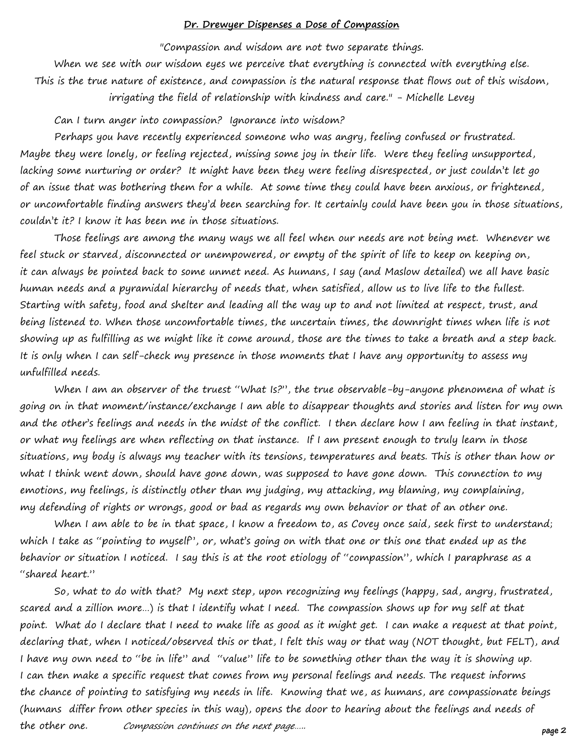#### **Dr. Drewyer Dispenses a Dose of Compassion**

#### "Compassion and wisdom are not two separate things.

When we see with our wisdom eyes we perceive that everything is connected with everything else. This is the true nature of existence, and compassion is the natural response that flows out of this wisdom, irrigating the field of relationship with kindness and care." - Michelle Levey

Can I turn anger into compassion? Ignorance into wisdom?

 Perhaps you have recently experienced someone who was angry, feeling confused or frustrated. Maybe they were lonely, or feeling rejected, missing some joy in their life. Were they feeling unsupported, lacking some nurturing or order? It might have been they were feeling disrespected, or just couldn't let go of an issue that was bothering them for a while. At some time they could have been anxious, or frightened, or uncomfortable finding answers they'd been searching for. It certainly could have been you in those situations, couldn't it? I know it has been me in those situations.

 Those feelings are among the many ways we all feel when our needs are not being met. Whenever we feel stuck or starved, disconnected or unempowered, or empty of the spirit of life to keep on keeping on, it can always be pointed back to some unmet need. As humans, I say (and Maslow detailed) we all have basic human needs and a pyramidal hierarchy of needs that, when satisfied, allow us to live life to the fullest. Starting with safety, food and shelter and leading all the way up to and not limited at respect, trust, and being listened to. When those uncomfortable times, the uncertain times, the downright times when life is not showing up as fulfilling as we might like it come around, those are the times to take a breath and a step back. It is only when I can self-check my presence in those moments that I have any opportunity to assess my unfulfilled needs.

When I am an observer of the truest "What Is?", the true observable-by-anyone phenomena of what is going on in that moment/instance/exchange I am able to disappear thoughts and stories and listen for my own and the other's feelings and needs in the midst of the conflict. I then declare how I am feeling in that instant, or what my feelings are when reflecting on that instance. If I am present enough to truly learn in those situations, my body is always my teacher with its tensions, temperatures and beats. This is other than how or what I think went down, should have gone down, was supposed to have gone down. This connection to my emotions, my feelings, is distinctly other than my judging, my attacking, my blaming, my complaining, my defending of rights or wrongs, good or bad as regards my own behavior or that of an other one.

When I am able to be in that space, I know a freedom to, as Covey once said, seek first to understand; which I take as "pointing to myself", or, what's going on with that one or this one that ended up as the behavior or situation I noticed. I say this is at the root etiology of "compassion", which I paraphrase as a "shared heart."

 So, what to do with that? My next step, upon recognizing my feelings (happy, sad, angry, frustrated, scared and a zillion more…) is that I identify what I need. The compassion shows up for my self at that point. What do I declare that I need to make life as good as it might get. I can make a request at that point, declaring that, when I noticed/observed this or that, I felt this way or that way (NOT thought, but FELT), and I have my own need to "be in life" and "value" life to be something other than the way it is showing up. I can then make a specific request that comes from my personal feelings and needs. The request informs the chance of pointing to satisfying my needs in life. Knowing that we, as humans, are compassionate beings (humans differ from other species in this way), opens the door to hearing about the feelings and needs of the other one. Compassion continues on the next page.....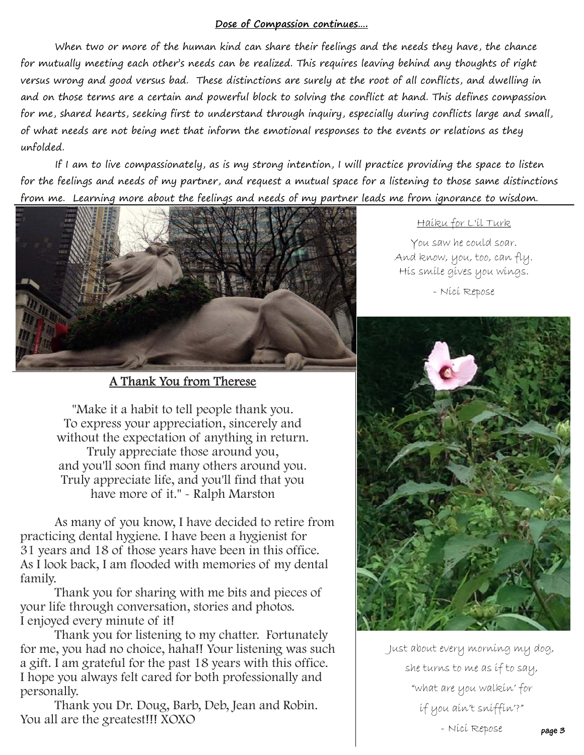## **Dose of Compassion continues….**

 When two or more of the human kind can share their feelings and the needs they have, the chance for mutually meeting each other's needs can be realized. This requires leaving behind any thoughts of right versus wrong and good versus bad. These distinctions are surely at the root of all conflicts, and dwelling in and on those terms are a certain and powerful block to solving the conflict at hand. This defines compassion for me, shared hearts, seeking first to understand through inquiry, especially during conflicts large and small, of what needs are not being met that inform the emotional responses to the events or relations as they unfolded.

 If I am to live compassionately, as is my strong intention, I will practice providing the space to listen for the feelings and needs of my partner, and request a mutual space for a listening to those same distinctions from me. Learning more about the feelings and needs of my partner leads me from ignorance to wisdom.



A Thank You from Therese

"Make it a habit to tell people thank you. To express your appreciation, sincerely and without the expectation of anything in return. Truly appreciate those around you, and you'll soon find many others around you. Truly appreciate life, and you'll find that you have more of it." - Ralph Marston

 As many of you know, I have decided to retire from practicing dental hygiene. I have been a hygienist for 31 years and 18 of those years have been in this office. As I look back, I am flooded with memories of my dental family.

 Thank you for sharing with me bits and pieces of your life through conversation, stories and photos. I enjoyed every minute of it!

 Thank you for listening to my chatter. Fortunately for me, you had no choice, haha!! Your listening was such a gift. I am grateful for the past 18 years with this office. I hope you always felt cared for both professionally and personally.

 Thank you Dr. Doug, Barb, Deb, Jean and Robin. You all are the greatest!!! XOXO

## Haiku for L'il Turk

You saw he could soar. And know, you, too, can fly. His smile gives you wings.

- Nici Repose



Just about every morning my dog, she turns to me as if to say, "what are you walkin' for if you ain't sniffin'?" - Nici Repose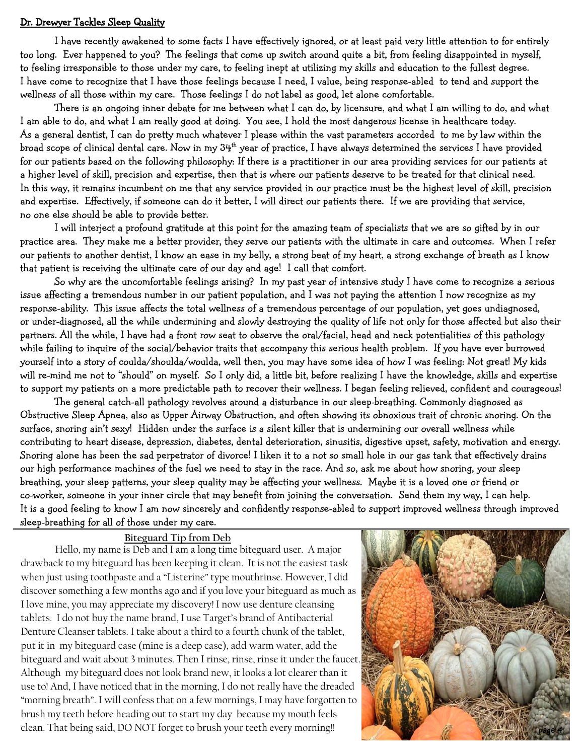#### Dr. Drewyer Tackles Sleep Quality

 I have recently awakened to some facts I have effectively ignored, or at least paid very little attention to for entirely too long. Ever happened to you? The feelings that come up switch around quite a bit, from feeling disappointed in myself, to feeling irresponsible to those under my care, to feeling inept at utilizing my skills and education to the fullest degree. I have come to recognize that I have those feelings because I need, I value, being response-abled to tend and support the wellness of all those within my care. Those feelings I do not label as good, let alone comfortable.

 There is an ongoing inner debate for me between what I can do, by licensure, and what I am willing to do, and what I am able to do, and what I am really good at doing. You see, I hold the most dangerous license in healthcare today. As a general dentist, I can do pretty much whatever I please within the vast parameters accorded to me by law within the broad scope of clinical dental care. Now in my  $34<sup>th</sup>$  year of practice, I have always determined the services I have provided for our patients based on the following philosophy: If there is a practitioner in our area providing services for our patients at a higher level of skill, precision and expertise, then that is where our patients deserve to be treated for that clinical need. In this way, it remains incumbent on me that any service provided in our practice must be the highest level of skill, precision and expertise. Effectively, if someone can do it better, I will direct our patients there. If we are providing that service, no one else should be able to provide better.

 I will interject a profound gratitude at this point for the amazing team of specialists that we are so gifted by in our practice area. They make me a better provider, they serve our patients with the ultimate in care and outcomes. When I refer our patients to another dentist, I know an ease in my belly, a strong beat of my heart, a strong exchange of breath as I know that patient is receiving the ultimate care of our day and age! I call that comfort.

 So why are the uncomfortable feelings arising? In my past year of intensive study I have come to recognize a serious issue affecting a tremendous number in our patient population, and I was not paying the attention I now recognize as my response-ability. This issue affects the total wellness of a tremendous percentage of our population, yet goes undiagnosed, or under-diagnosed, all the while undermining and slowly destroying the quality of life not only for those affected but also their partners. All the while, I have had a front row seat to observe the oral/facial, head and neck potentialities of this pathology while failing to inquire of the social/behavior traits that accompany this serious health problem. If you have ever burrowed yourself into a story of coulda/shoulda/woulda, well then, you may have some idea of how I was feeling: Not great! My kids will re-mind me not to "should" on myself. So I only did, a little bit, before realizing I have the knowledge, skills and expertise to support my patients on a more predictable path to recover their wellness. I began feeling relieved, confident and courageous!

 The general catch-all pathology revolves around a disturbance in our sleep-breathing. Commonly diagnosed as Obstructive Sleep Apnea, also as Upper Airway Obstruction, and often showing its obnoxious trait of chronic snoring. On the surface, snoring ain't sexy! Hidden under the surface is a silent killer that is undermining our overall wellness while contributing to heart disease, depression, diabetes, dental deterioration, sinusitis, digestive upset, safety, motivation and energy. Snoring alone has been the sad perpetrator of divorce! I liken it to a not so small hole in our gas tank that effectively drains our high performance machines of the fuel we need to stay in the race. And so, ask me about how snoring, your sleep breathing, your sleep patterns, your sleep quality may be affecting your wellness. Maybe it is a loved one or friend or co-worker, someone in your inner circle that may benefit from joining the conversation. Send them my way, I can help. It is a good feeling to know I am now sincerely and confidently response-abled to support improved wellness through improved sleep-breathing for all of those under my care.

### **Biteguard Tip from Deb**

 Hello, my name is Deb and I am a long time biteguard user. A major drawback to my biteguard has been keeping it clean. It is not the easiest task when just using toothpaste and a "Listerine" type mouthrinse. However, I did discover something a few months ago and if you love your biteguard as much as I love mine, you may appreciate my discovery! I now use denture cleansing tablets. I do not buy the name brand, I use Target's brand of Antibacterial Denture Cleanser tablets. I take about a third to a fourth chunk of the tablet, put it in my biteguard case (mine is a deep case), add warm water, add the biteguard and wait about 3 minutes. Then I rinse, rinse, rinse it under the faucet. Although my biteguard does not look brand new, it looks a lot clearer than it use to! And, I have noticed that in the morning, I do not really have the dreaded "morning breath". I will confess that on a few mornings, I may have forgotten to brush my teeth before heading out to start my day because my mouth feels clean. That being said, DO NOT forget to brush your teeth every morning!!